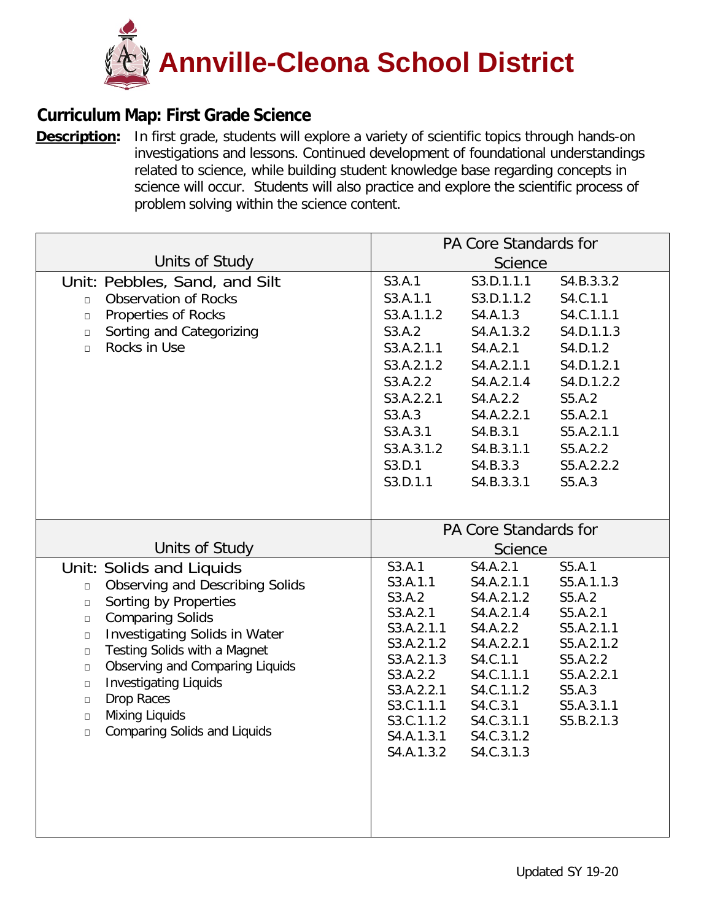

## **Curriculum Map: First Grade Science**

**[Description:](https://ohsweb.cliu.org/EdInsightAnnvilleCleona/Form/Curriculum/CurriculumMapView.aspx?args=jZAC2VDJ5vsfUn6M5XufcoFzIo5va1kZASHN7axbrs5S8Qu9UPzrY20xmIqxWYbKHiKwKPiObHpdd/cVyZ8KXQ==)** In first grade, students will explore a variety of scientific topics through hands-on investigations and lessons. Continued development of foundational understandings related to science, while building student knowledge base regarding concepts in science will occur. Students will also practice and explore the scientific process of problem solving within the science content.

|                                                                                                                                                                                                                                                                                                                                                                                                                                                                | PA Core Standards for                                                                                                                                                                                                                                                                                                                                                                                                                                                                                                            |  |  |  |
|----------------------------------------------------------------------------------------------------------------------------------------------------------------------------------------------------------------------------------------------------------------------------------------------------------------------------------------------------------------------------------------------------------------------------------------------------------------|----------------------------------------------------------------------------------------------------------------------------------------------------------------------------------------------------------------------------------------------------------------------------------------------------------------------------------------------------------------------------------------------------------------------------------------------------------------------------------------------------------------------------------|--|--|--|
| Units of Study                                                                                                                                                                                                                                                                                                                                                                                                                                                 | Science                                                                                                                                                                                                                                                                                                                                                                                                                                                                                                                          |  |  |  |
| Unit: Pebbles, Sand, and Silt<br><b>Observation of Rocks</b><br>$\Box$<br>Properties of Rocks<br>$\Box$<br>Sorting and Categorizing<br>$\Box$<br>Rocks in Use<br>$\Box$                                                                                                                                                                                                                                                                                        | S3.A.1<br>S3.D.1.1.1<br>S4.B.3.3.2<br>S3.A.1.1<br>S3.D.1.1.2<br>S4.C.1.1<br>S3.A.1.1.2<br>S4.C.1.1.1<br>S4.A.1.3<br>S3.A.2<br>S4.A.1.3.2<br>S4.D.1.1.3<br>S3.A.2.1.1<br>S4.A.2.1<br>S4.D.1.2<br>S3.A.2.1.2<br>S4.A.2.1.1<br>S4.D.1.2.1<br>S3.A.2.2<br>S4.A.2.1.4<br>S4.D.1.2.2<br>S3.A.2.2.1<br>S4.A.2.2<br>S5.A.2<br>S3.A.3<br>S4.A.2.2.1<br>S5.A.2.1<br>S3.A.3.1<br>S4.B.3.1<br>S5.A.2.1.1<br>S3.A.3.1.2<br>S4.B.3.1.1<br>S5.A.2.2<br>S3.D.1<br>S4.B.3.3<br>S5.A.2.2.2<br>S3.D.1.1<br>S5.A.3<br>S4.B.3.3.1                     |  |  |  |
| Units of Study<br>Unit: Solids and Liquids<br>Observing and Describing Solids<br>$\Box$<br>Sorting by Properties<br>$\Box$<br><b>Comparing Solids</b><br>$\Box$<br><b>Investigating Solids in Water</b><br>$\Box$<br>Testing Solids with a Magnet<br>$\Box$<br>Observing and Comparing Liquids<br>$\Box$<br><b>Investigating Liquids</b><br>$\Box$<br><b>Drop Races</b><br>$\Box$<br>Mixing Liquids<br>$\Box$<br><b>Comparing Solids and Liquids</b><br>$\Box$ | PA Core Standards for<br>Science<br>S4.A.2.1<br>S5.A.1<br>S3.A.1<br>S3.A.1.1<br>S4.A.2.1.1<br>S5.A.1.1.3<br>S3.A.2<br>S4.A.2.1.2<br>S5.A.2<br>S5.A.2.1<br>S3.A.2.1<br>S4.A.2.1.4<br>S3.A.2.1.1<br>S4.A.2.2<br>S5.A.2.1.1<br>S3.A.2.1.2<br>S4.A.2.2.1<br>S5.A.2.1.2<br>S3.A.2.1.3<br>S4.C.1.1<br>S5.A.2.2<br>S4.C.1.1.1<br>S3.A.2.2<br>S5.A.2.2.1<br>S4.C.1.1.2<br>S3.A.2.2.1<br>S5.A.3<br>S3.C.1.1.1<br>S4.C.3.1<br>S5.A.3.1.1<br>S3.C.1.1.2<br>S4.C.3.1.1<br>S5.B.2.1.3<br>S4.A.1.3.1<br>S4.C.3.1.2<br>S4.C.3.1.3<br>S4.A.1.3.2 |  |  |  |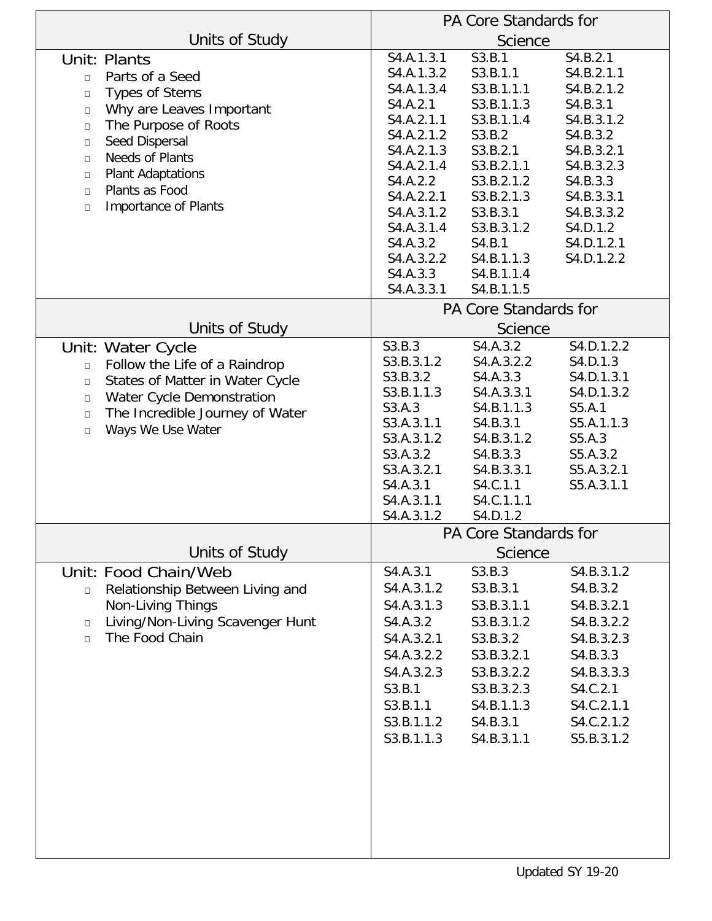|                                                                                                                                                                                                                                                                                                                   | PA Core Standards for                                                                                                                                                                                                |                                                                                                                                                                                                            |                                                                                                                                                                                        |  |
|-------------------------------------------------------------------------------------------------------------------------------------------------------------------------------------------------------------------------------------------------------------------------------------------------------------------|----------------------------------------------------------------------------------------------------------------------------------------------------------------------------------------------------------------------|------------------------------------------------------------------------------------------------------------------------------------------------------------------------------------------------------------|----------------------------------------------------------------------------------------------------------------------------------------------------------------------------------------|--|
| Units of Study                                                                                                                                                                                                                                                                                                    | Science                                                                                                                                                                                                              |                                                                                                                                                                                                            |                                                                                                                                                                                        |  |
| Unit: Plants<br>Parts of a Seed<br>$\Box$<br><b>Types of Stems</b><br>$\Box$<br>Why are Leaves Important<br>$\Box$<br>The Purpose of Roots<br>$\Box$<br>Seed Dispersal<br>$\Box$<br>Needs of Plants<br>$\Box$<br>Plant Adaptations<br>$\Box$<br>Plants as Food<br>$\Box$<br><b>Importance of Plants</b><br>$\Box$ | S4.A.1.3.1<br>S4.A.1.3.2<br>S4.A.1.3.4<br>S4.A.2.1<br>S4.A.2.1.1<br>S4.A.2.1.2<br>S4.A.2.1.3<br>S4.A.2.1.4<br>S4.A.2.2<br>S4.A.2.2.1<br>S4.A.3.1.2<br>S4.A.3.1.4<br>S4.A.3.2<br>S4.A.3.2.2<br>S4.A.3.3<br>S4.A.3.3.1 | S3.B.1<br>S3.B.1.1<br>S3.B.1.1.1<br>S3.B.1.1.3<br>S3.B.1.1.4<br>S3.B.2<br>S3.B.2.1<br>S3.B.2.1.1<br>S3.B.2.1.2<br>S3.B.2.1.3<br>S3.B.3.1<br>S3.B.3.1.2<br>S4.B.1<br>S4.B.1.1.3<br>S4.B.1.1.4<br>S4.B.1.1.5 | S4.B.2.1<br>S4.B.2.1.1<br>S4.B.2.1.2<br>S4.B.3.1<br>S4.B.3.1.2<br>S4.B.3.2<br>S4.B.3.2.1<br>S4.B.3.2.3<br>S4.B.3.3<br>S4.B.3.3.1<br>S4.B.3.3.2<br>S4.D.1.2<br>S4.D.1.2.1<br>S4.D.1.2.2 |  |
| Units of Study                                                                                                                                                                                                                                                                                                    | PA Core Standards for<br>Science                                                                                                                                                                                     |                                                                                                                                                                                                            |                                                                                                                                                                                        |  |
| Unit: Water Cycle<br>Follow the Life of a Raindrop<br>$\Box$<br>States of Matter in Water Cycle<br>$\Box$<br>Water Cycle Demonstration<br>$\Box$<br>The Incredible Journey of Water<br>$\Box$<br>Ways We Use Water<br>$\Box$                                                                                      | S3.B.3<br>S3.B.3.1.2<br>S3.B.3.2<br>S3.B.1.1.3<br>S3.A.3<br>S3.A.3.1.1<br>S3.A.3.1.2<br>S3.A.3.2<br>S3.A.3.2.1<br>S4.A.3.1<br>S4.A.3.1.1<br>S4.A.3.1.2                                                               | S4.A.3.2<br>S4.A.3.2.2<br>S4.A.3.3<br>S4.A.3.3.1<br>S4.B.1.1.3<br>S4.B.3.1<br>S4.B.3.1.2<br>S4.B.3.3<br>S4.B.3.3.1<br>S4.C.1.1<br>S4.C.1.1.1<br>S4.D.1.2                                                   | S4.D.1.2.2<br>S4.D.1.3<br>S4.D.1.3.1<br>S4.D.1.3.2<br>S5.A.1<br>S5.A.1.1.3<br>S5.A.3<br>S5.A.3.2<br>S5.A.3.2.1<br>S5.A.3.1.1                                                           |  |
| Units of Study                                                                                                                                                                                                                                                                                                    | PA Core Standards for<br>Science                                                                                                                                                                                     |                                                                                                                                                                                                            |                                                                                                                                                                                        |  |
| Unit: Food Chain/Web<br>Relationship Between Living and<br>$\Box$<br><b>Non-Living Things</b><br>Living/Non-Living Scavenger Hunt<br>$\Box$<br>The Food Chain<br>$\Box$                                                                                                                                           | S4.A.3.1<br>S4.A.3.1.2<br>S4.A.3.1.3<br>S4.A.3.2<br>S4.A.3.2.1<br>S4.A.3.2.2<br>S4.A.3.2.3<br>S3.B.1<br>S3.B.1.1<br>S3.B.1.1.2<br>S3.B.1.1.3                                                                         | S3.B.3<br>S3.B.3.1<br>S3.B.3.1.1<br>S3.B.3.1.2<br>S3.B.3.2<br>S3.B.3.2.1<br>S3.B.3.2.2<br>S3.B.3.2.3<br>S4.B.1.1.3<br>S4.B.3.1<br>S4.B.3.1.1                                                               | S4.B.3.1.2<br>S4.B.3.2<br>S4.B.3.2.1<br>S4.B.3.2.2<br>S4.B.3.2.3<br>S4.B.3.3<br>S4.B.3.3.3<br>S4.C.2.1<br>S4.C.2.1.1<br>S4.C.2.1.2<br>S5.B.3.1.2                                       |  |